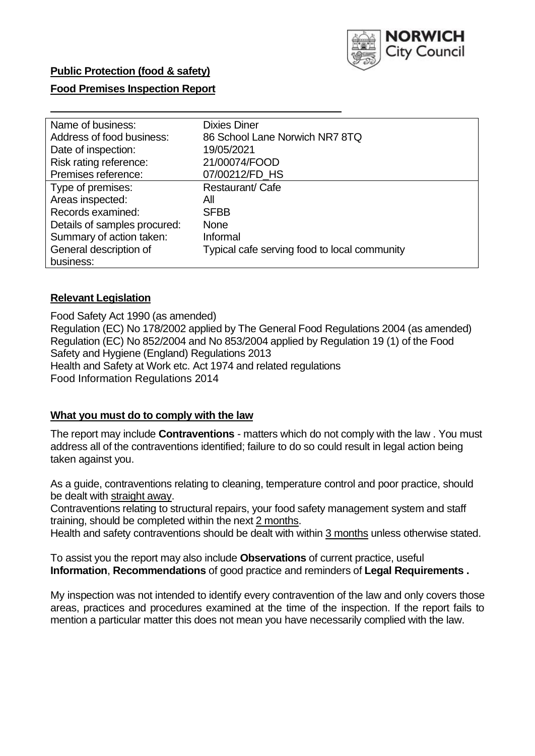

## **Food Premises Inspection Report**

| Name of business:            | <b>Dixies Diner</b>                          |
|------------------------------|----------------------------------------------|
| Address of food business:    | 86 School Lane Norwich NR7 8TQ               |
| Date of inspection:          | 19/05/2021                                   |
| Risk rating reference:       | 21/00074/FOOD                                |
| Premises reference:          | 07/00212/FD HS                               |
| Type of premises:            | Restaurant/Cafe                              |
| Areas inspected:             | All                                          |
| Records examined:            | <b>SFBB</b>                                  |
| Details of samples procured: | <b>None</b>                                  |
| Summary of action taken:     | Informal                                     |
| General description of       | Typical cafe serving food to local community |
| business:                    |                                              |

## **Relevant Legislation**

 Food Safety Act 1990 (as amended) Regulation (EC) No 178/2002 applied by The General Food Regulations 2004 (as amended) Regulation (EC) No 852/2004 and No 853/2004 applied by Regulation 19 (1) of the Food Safety and Hygiene (England) Regulations 2013 Health and Safety at Work etc. Act 1974 and related regulations Food Information Regulations 2014

#### **What you must do to comply with the law**

 The report may include **Contraventions** - matters which do not comply with the law . You must address all of the contraventions identified; failure to do so could result in legal action being taken against you.

 As a guide, contraventions relating to cleaning, temperature control and poor practice, should be dealt with straight away.

 Contraventions relating to structural repairs, your food safety management system and staff training, should be completed within the next 2 months.

Health and safety contraventions should be dealt with within 3 months unless otherwise stated.

 To assist you the report may also include **Observations** of current practice, useful **Information**, **Recommendations** of good practice and reminders of **Legal Requirements .** 

 My inspection was not intended to identify every contravention of the law and only covers those areas, practices and procedures examined at the time of the inspection. If the report fails to mention a particular matter this does not mean you have necessarily complied with the law.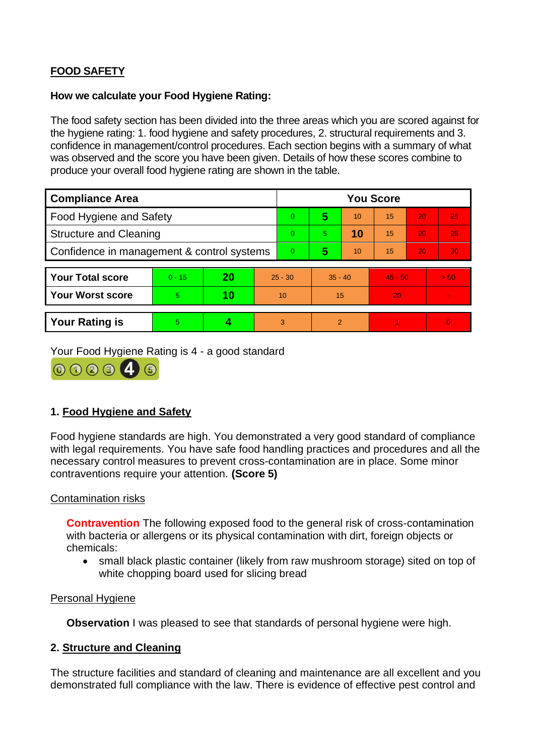# **FOOD SAFETY**

## **How we calculate your Food Hygiene Rating:**

 The food safety section has been divided into the three areas which you are scored against for the hygiene rating: 1. food hygiene and safety procedures, 2. structural requirements and 3. confidence in management/control procedures. Each section begins with a summary of what was observed and the score you have been given. Details of how these scores combine to produce your overall food hygiene rating are shown in the table.

| <b>Compliance Area</b>                     |          |    |           | <b>You Score</b> |                |    |           |    |                |  |  |
|--------------------------------------------|----------|----|-----------|------------------|----------------|----|-----------|----|----------------|--|--|
| <b>Food Hygiene and Safety</b>             |          |    |           | $\overline{0}$   | 5              | 10 | 15        | 20 | 25             |  |  |
| <b>Structure and Cleaning</b>              |          |    |           | $\Omega$         | 5.             | 10 | 15        | 20 | 25             |  |  |
| Confidence in management & control systems |          |    |           | $\Omega$         | 5              | 10 | 15        | 20 | 30             |  |  |
|                                            |          |    |           |                  |                |    |           |    |                |  |  |
| <b>Your Total score</b>                    | $0 - 15$ | 20 | $25 - 30$ |                  | $35 - 40$      |    | $45 - 50$ |    | > 50           |  |  |
| Your Worst score                           | 5.       | 10 | 10        |                  | 15             |    | 20        |    | $\blacksquare$ |  |  |
|                                            |          |    |           |                  |                |    |           |    |                |  |  |
| <b>Your Rating is</b>                      | 5        |    |           | 3                | $\overline{2}$ |    |           |    | $\overline{0}$ |  |  |

Your Food Hygiene Rating is 4 - a good standard



# **1. Food Hygiene and Safety**

 with legal requirements. You have safe food handling practices and procedures and all the Food hygiene standards are high. You demonstrated a very good standard of compliance necessary control measures to prevent cross-contamination are in place. Some minor contraventions require your attention. **(Score 5)** 

## Contamination risks

 with bacteria or allergens or its physical contamination with dirt, foreign objects or **Contravention** The following exposed food to the general risk of cross-contamination chemicals:

• small black plastic container (likely from raw mushroom storage) sited on top of white chopping board used for slicing bread

#### Personal Hygiene

**Observation** I was pleased to see that standards of personal hygiene were high.

## **2. Structure and Cleaning**

The structure facilities and standard of cleaning and maintenance are all excellent and you demonstrated full compliance with the law. There is evidence of effective pest control and